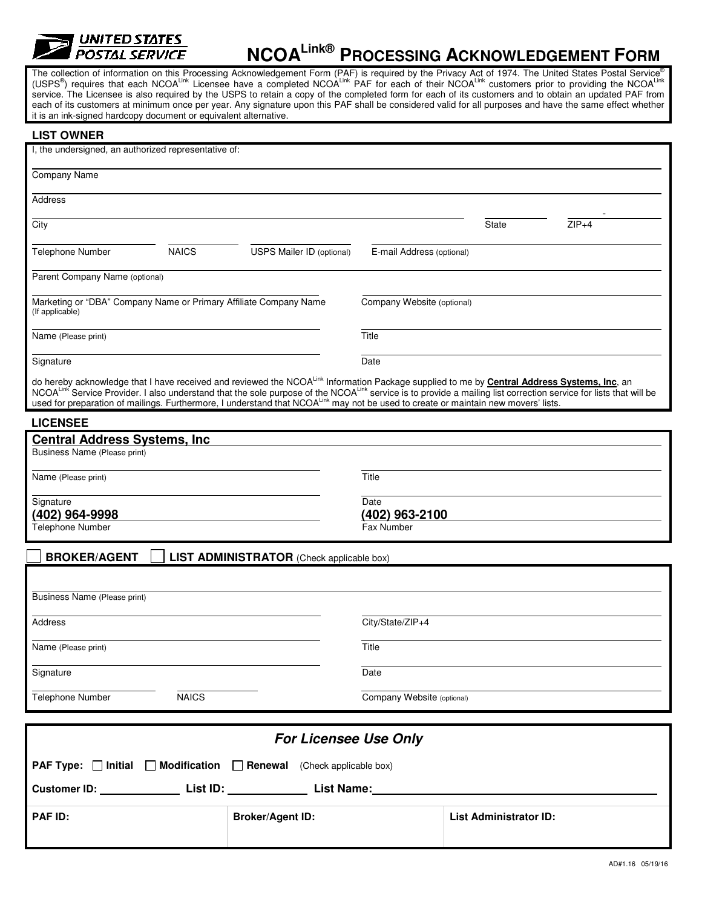

## **NCOALink® PROCESSING ACKNOWLEDGEMENT FORM**

The collection of information on this Processing Acknowledgement Form (PAF) is required by the Privacy Act of 1974. The United States Postal Service<sup>®</sup> (USPS®) requires that each NCOA<sup>Link</sup> Licensee have a completed NCOA<sup>Link</sup> PAF for each of their NCOA<sup>Link</sup> customers prior to providing the NCOA<sup>Link</sup> service. The Licensee is also required by the USPS to retain a copy of the completed form for each of its customers and to obtain an updated PAF from each of its customers at minimum once per year. Any signature upon this PAF shall be considered valid for all purposes and have the same effect whether it is an ink-signed hardcopy document or equivalent alternative.

| <b>LIST OWNER</b>                                                                                                                                                                                                                                                                                                                                                                                 |                                  |                           |                               |         |  |
|---------------------------------------------------------------------------------------------------------------------------------------------------------------------------------------------------------------------------------------------------------------------------------------------------------------------------------------------------------------------------------------------------|----------------------------------|---------------------------|-------------------------------|---------|--|
| I, the undersigned, an authorized representative of:                                                                                                                                                                                                                                                                                                                                              |                                  |                           |                               |         |  |
| <b>Company Name</b>                                                                                                                                                                                                                                                                                                                                                                               |                                  |                           |                               |         |  |
| Address                                                                                                                                                                                                                                                                                                                                                                                           |                                  |                           |                               |         |  |
| City                                                                                                                                                                                                                                                                                                                                                                                              |                                  |                           | State                         | $ZIP+4$ |  |
| <b>Telephone Number</b><br><b>NAICS</b>                                                                                                                                                                                                                                                                                                                                                           | <b>USPS Mailer ID (optional)</b> | E-mail Address (optional) |                               |         |  |
| Parent Company Name (optional)                                                                                                                                                                                                                                                                                                                                                                    |                                  |                           |                               |         |  |
| Marketing or "DBA" Company Name or Primary Affiliate Company Name<br>(If applicable)                                                                                                                                                                                                                                                                                                              | Company Website (optional)       |                           |                               |         |  |
| Name (Please print)                                                                                                                                                                                                                                                                                                                                                                               | Title                            |                           |                               |         |  |
| Signature                                                                                                                                                                                                                                                                                                                                                                                         | Date                             |                           |                               |         |  |
| do hereby acknowledge that I have received and reviewed the NCOA <sup>Link</sup> Information Package supplied to me by <b>Central Address Systems, Inc</b> , an<br>NCOA <sup>Link</sup> Service Provider. I also understand that the sole purpose of the NC<br>used for preparation of mailings. Furthermore, I understand that NCOALINK may not be used to create or maintain new movers' lists. |                                  |                           |                               |         |  |
| <b>LICENSEE</b>                                                                                                                                                                                                                                                                                                                                                                                   |                                  |                           |                               |         |  |
| <b>Central Address Systems, Inc.</b><br>Business Name (Please print)                                                                                                                                                                                                                                                                                                                              |                                  |                           |                               |         |  |
| Name (Please print)                                                                                                                                                                                                                                                                                                                                                                               | Title                            |                           |                               |         |  |
| Signature                                                                                                                                                                                                                                                                                                                                                                                         |                                  | Date<br>(402) 963-2100    |                               |         |  |
| (402) 964-9998<br>Telephone Number                                                                                                                                                                                                                                                                                                                                                                | Fax Number                       |                           |                               |         |  |
| <b>BROKER/AGENT</b><br><b>LIST ADMINISTRATOR</b> (Check applicable box)                                                                                                                                                                                                                                                                                                                           |                                  |                           |                               |         |  |
|                                                                                                                                                                                                                                                                                                                                                                                                   |                                  |                           |                               |         |  |
| Business Name (Please print)                                                                                                                                                                                                                                                                                                                                                                      |                                  |                           |                               |         |  |
| Address                                                                                                                                                                                                                                                                                                                                                                                           |                                  | City/State/ZIP+4          |                               |         |  |
| Name (Please print)                                                                                                                                                                                                                                                                                                                                                                               |                                  | Title                     |                               |         |  |
| Signature                                                                                                                                                                                                                                                                                                                                                                                         |                                  | Date                      |                               |         |  |
| <b>NAICS</b><br>Telephone Number                                                                                                                                                                                                                                                                                                                                                                  | Company Website (optional)       |                           |                               |         |  |
|                                                                                                                                                                                                                                                                                                                                                                                                   |                                  |                           |                               |         |  |
| <b>For Licensee Use Only</b>                                                                                                                                                                                                                                                                                                                                                                      |                                  |                           |                               |         |  |
| <b>PAF Type:</b> $\Box$ Initial $\Box$ Modification $\Box$ Renewal<br>(Check applicable box)                                                                                                                                                                                                                                                                                                      |                                  |                           |                               |         |  |
| Customer ID: List ID: List ID: List ID: List Name:                                                                                                                                                                                                                                                                                                                                                |                                  |                           |                               |         |  |
| <b>PAF ID:</b>                                                                                                                                                                                                                                                                                                                                                                                    | <b>Broker/Agent ID:</b>          |                           | <b>List Administrator ID:</b> |         |  |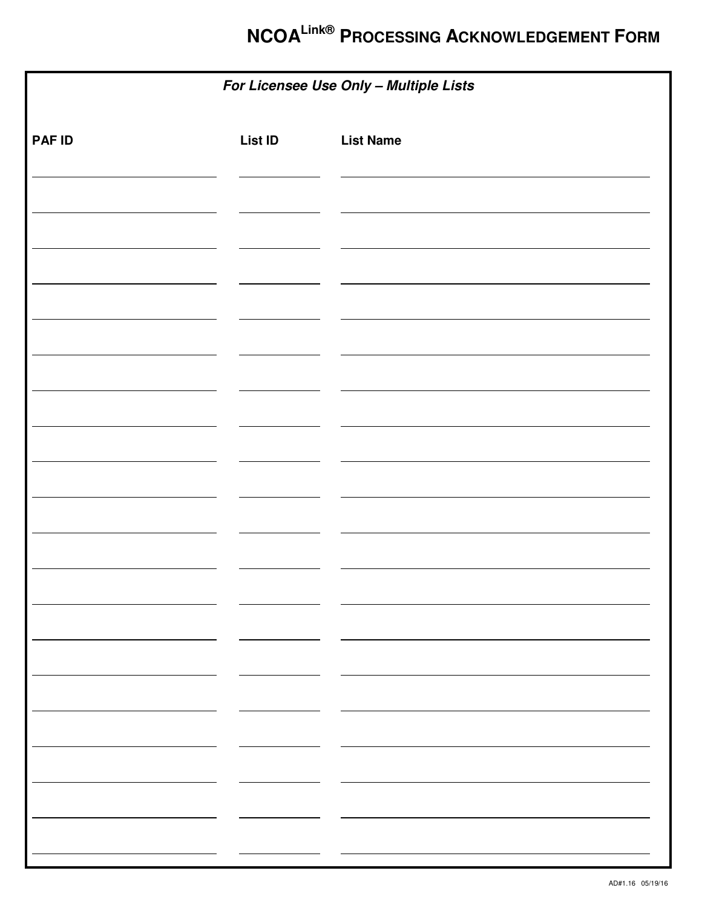# **NCOALink® PROCESSING ACKNOWLEDGEMENT FORM**

| For Licensee Use Only - Multiple Lists |                |                  |  |
|----------------------------------------|----------------|------------------|--|
| <b>PAF ID</b>                          | <b>List ID</b> | <b>List Name</b> |  |
|                                        |                |                  |  |
|                                        |                |                  |  |
|                                        |                |                  |  |
|                                        |                |                  |  |
|                                        |                |                  |  |
|                                        |                |                  |  |
|                                        |                |                  |  |
|                                        |                |                  |  |
|                                        |                |                  |  |
|                                        |                |                  |  |
|                                        |                |                  |  |
|                                        |                |                  |  |
|                                        |                |                  |  |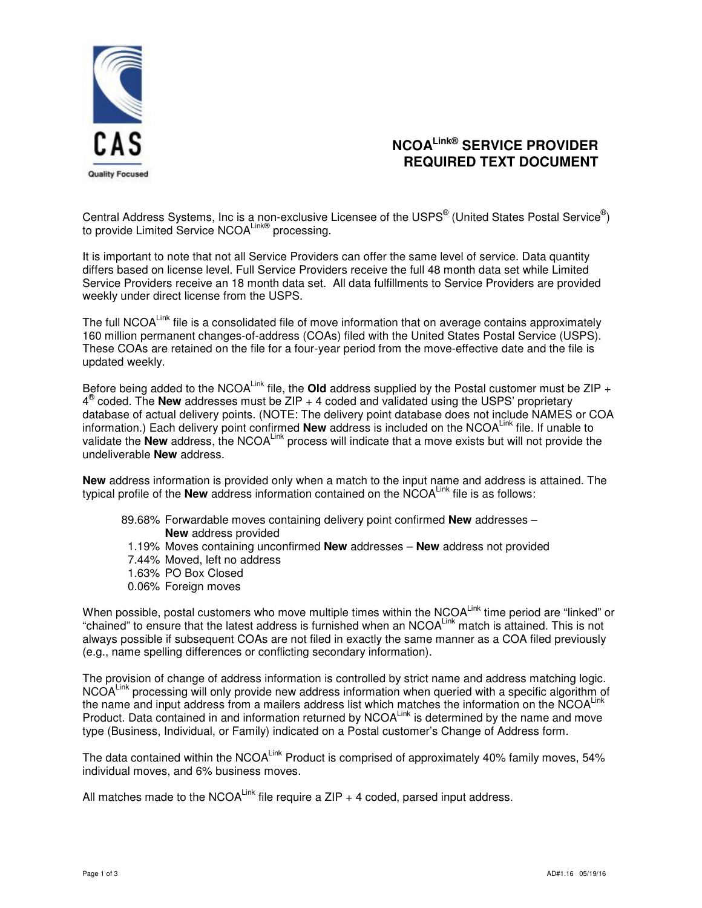

### **NCOALink® SERVICE PROVIDER REQUIRED TEXT DOCUMENT**

Central Address Systems, Inc is a non-exclusive Licensee of the USPS® (United States Postal Service®) to provide Limited Service NCOA<sup>Link®</sup> processing.

It is important to note that not all Service Providers can offer the same level of service. Data quantity differs based on license level. Full Service Providers receive the full 48 month data set while Limited Service Providers receive an 18 month data set. All data fulfillments to Service Providers are provided weekly under direct license from the USPS.

The full NCOA<sup>Link</sup> file is a consolidated file of move information that on average contains approximately 160 million permanent changes-of-address (COAs) filed with the United States Postal Service (USPS). These COAs are retained on the file for a four-year period from the move-effective date and the file is updated weekly.

Before being added to the NCOA<sup>Link</sup> file, the **Old** address supplied by the Postal customer must be ZIP + 4 ® coded. The **New** addresses must be ZIP + 4 coded and validated using the USPS' proprietary database of actual delivery points. (NOTE: The delivery point database does not include NAMES or COA information.) Each delivery point confirmed **New** address is included on the NCOAL<sup>Link</sup> file. If unable to validate the **New** address, the NCOA<sup>Link</sup> process will indicate that a move exists but will not provide the undeliverable **New** address.

**New** address information is provided only when a match to the input name and address is attained. The typical profile of the **New** address information contained on the NCOALink file is as follows:

- 89.68% Forwardable moves containing delivery point confirmed **New** addresses **New** address provided
- 1.19% Moves containing unconfirmed **New** addresses **New** address not provided
- 7.44% Moved, left no address
- 1.63% PO Box Closed
- 0.06% Foreign moves

When possible, postal customers who move multiple times within the NCOALink time period are "linked" or "chained" to ensure that the latest address is furnished when an NCOALink match is attained. This is not always possible if subsequent COAs are not filed in exactly the same manner as a COA filed previously (e.g., name spelling differences or conflicting secondary information).

The provision of change of address information is controlled by strict name and address matching logic. NCOAL<sup>ink</sup> processing will only provide new address information when queried with a specific algorithm of the name and input address from a mailers address list which matches the information on the NCOA<sup>Link</sup> Product. Data contained in and information returned by NCOALink is determined by the name and move type (Business, Individual, or Family) indicated on a Postal customer's Change of Address form.

The data contained within the NCOALINK Product is comprised of approximately 40% family moves, 54% individual moves, and 6% business moves.

All matches made to the NCOALink file require a ZIP  $+$  4 coded, parsed input address.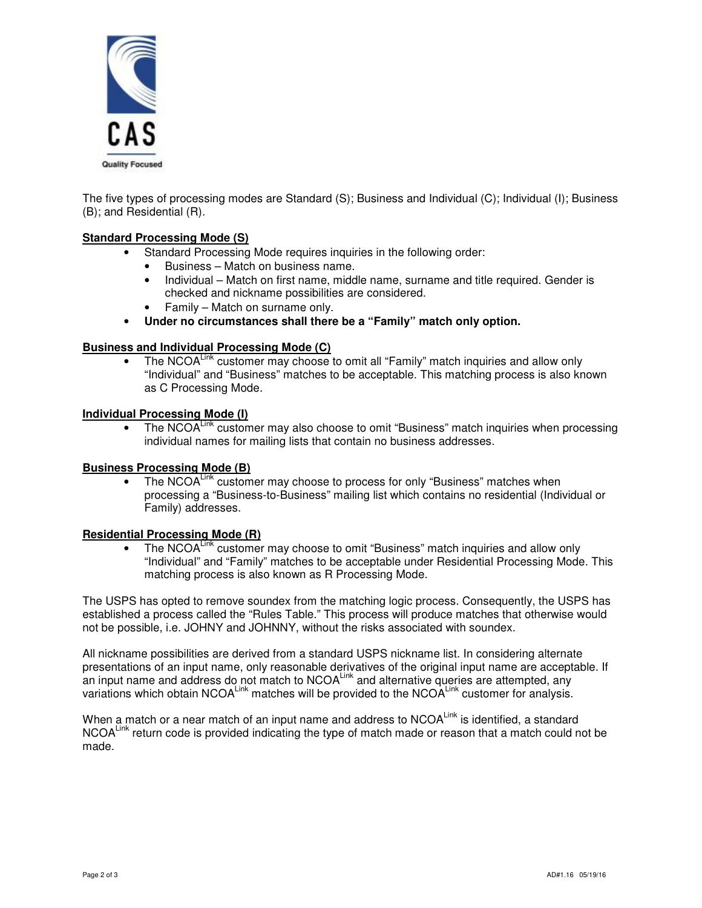

The five types of processing modes are Standard (S); Business and Individual (C); Individual (I); Business (B); and Residential (R).

#### **Standard Processing Mode (S)**

- Standard Processing Mode requires inquiries in the following order:
	- Business Match on business name.
	- Individual Match on first name, middle name, surname and title required. Gender is checked and nickname possibilities are considered.
	- Family Match on surname only.
- **Under no circumstances shall there be a "Family" match only option.**

#### **Business and Individual Processing Mode (C)**

The NCOAL<sup>Link</sup> customer may choose to omit all "Family" match inquiries and allow only "Individual" and "Business" matches to be acceptable. This matching process is also known as C Processing Mode.

#### **Individual Processing Mode (I)**

The NCOALink customer may also choose to omit "Business" match inquiries when processing individual names for mailing lists that contain no business addresses.

#### **Business Processing Mode (B)**

• The NCOALink customer may choose to process for only "Business" matches when processing a "Business-to-Business" mailing list which contains no residential (Individual or Family) addresses.

#### **Residential Processing Mode (R)**

The NCOA<sup>Link</sup> customer may choose to omit "Business" match inquiries and allow only "Individual" and "Family" matches to be acceptable under Residential Processing Mode. This matching process is also known as R Processing Mode.

The USPS has opted to remove soundex from the matching logic process. Consequently, the USPS has established a process called the "Rules Table." This process will produce matches that otherwise would not be possible, i.e. JOHNY and JOHNNY, without the risks associated with soundex.

All nickname possibilities are derived from a standard USPS nickname list. In considering alternate presentations of an input name, only reasonable derivatives of the original input name are acceptable. If an input name and address do not match to NCOALink and alternative queries are attempted, any variations which obtain NCOA<sup>Link</sup> matches will be provided to the NCOALink customer for analysis.

When a match or a near match of an input name and address to NCOAL<sup>Link</sup> is identified, a standard NCOA<sup>Link</sup> return code is provided indicating the type of match made or reason that a match could not be made.